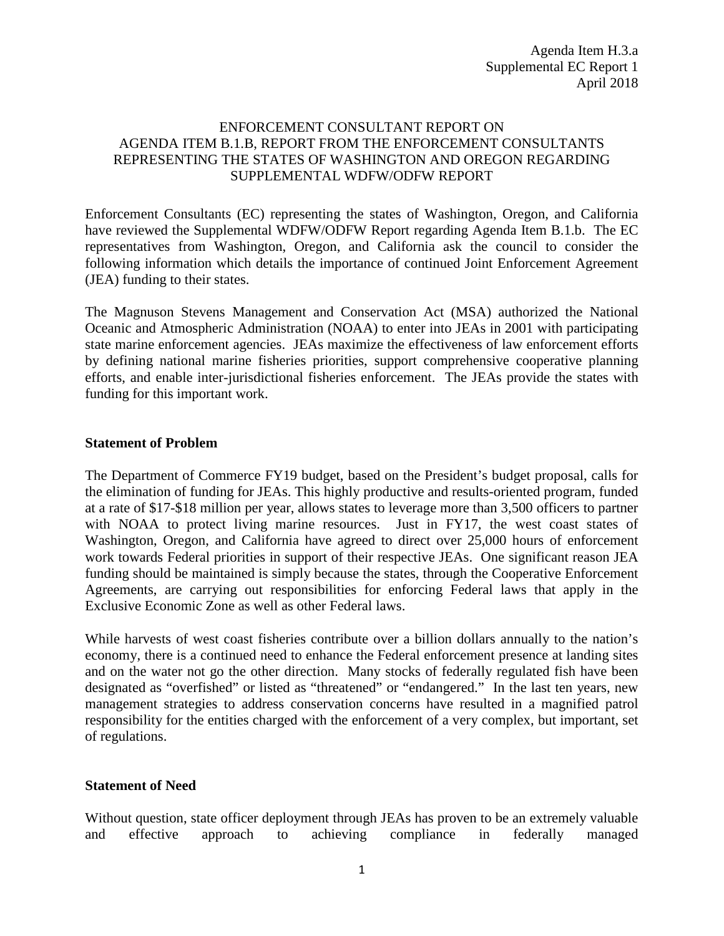## ENFORCEMENT CONSULTANT REPORT ON AGENDA ITEM B.1.B, REPORT FROM THE ENFORCEMENT CONSULTANTS REPRESENTING THE STATES OF WASHINGTON AND OREGON REGARDING SUPPLEMENTAL WDFW/ODFW REPORT

Enforcement Consultants (EC) representing the states of Washington, Oregon, and California have reviewed the Supplemental WDFW/ODFW Report regarding Agenda Item B.1.b. The EC representatives from Washington, Oregon, and California ask the council to consider the following information which details the importance of continued Joint Enforcement Agreement (JEA) funding to their states.

The Magnuson Stevens Management and Conservation Act (MSA) authorized the National Oceanic and Atmospheric Administration (NOAA) to enter into JEAs in 2001 with participating state marine enforcement agencies. JEAs maximize the effectiveness of law enforcement efforts by defining national marine fisheries priorities, support comprehensive cooperative planning efforts, and enable inter-jurisdictional fisheries enforcement. The JEAs provide the states with funding for this important work.

## **Statement of Problem**

The Department of Commerce FY19 budget, based on the President's budget proposal, calls for the elimination of funding for JEAs. This highly productive and results-oriented program, funded at a rate of \$17-\$18 million per year, allows states to leverage more than 3,500 officers to partner with NOAA to protect living marine resources. Just in FY17, the west coast states of Washington, Oregon, and California have agreed to direct over 25,000 hours of enforcement work towards Federal priorities in support of their respective JEAs. One significant reason JEA funding should be maintained is simply because the states, through the Cooperative Enforcement Agreements, are carrying out responsibilities for enforcing Federal laws that apply in the Exclusive Economic Zone as well as other Federal laws.

While harvests of west coast fisheries contribute over a billion dollars annually to the nation's economy, there is a continued need to enhance the Federal enforcement presence at landing sites and on the water not go the other direction. Many stocks of federally regulated fish have been designated as "overfished" or listed as "threatened" or "endangered." In the last ten years, new management strategies to address conservation concerns have resulted in a magnified patrol responsibility for the entities charged with the enforcement of a very complex, but important, set of regulations.

# **Statement of Need**

Without question, state officer deployment through JEAs has proven to be an extremely valuable and effective approach to achieving compliance in federally managed